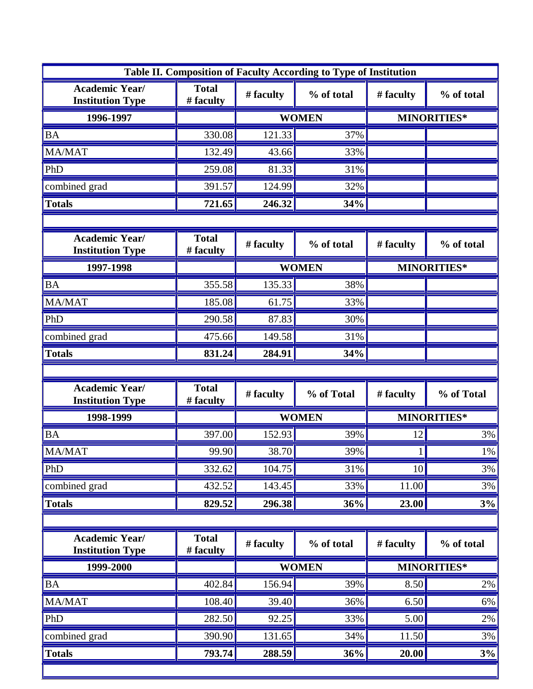| Table II. Composition of Faculty According to Type of Institution |                           |              |              |                    |            |  |  |
|-------------------------------------------------------------------|---------------------------|--------------|--------------|--------------------|------------|--|--|
| <b>Academic Year/</b><br><b>Institution Type</b>                  | <b>Total</b><br># faculty | # faculty    | % of total   | # faculty          | % of total |  |  |
| 1996-1997                                                         |                           | <b>WOMEN</b> |              | <b>MINORITIES*</b> |            |  |  |
| <b>BA</b>                                                         | 330.08                    | 121.33       | 37%          |                    |            |  |  |
| MA/MAT                                                            | 132.49                    | 43.66        | 33%          |                    |            |  |  |
| PhD                                                               | 259.08                    | 81.33        | 31%          |                    |            |  |  |
| combined grad                                                     | 391.57                    | 124.99       | 32%          |                    |            |  |  |
| <b>Totals</b>                                                     | 721.65                    | 246.32       | 34%          |                    |            |  |  |
|                                                                   |                           |              |              |                    |            |  |  |
| <b>Academic Year/</b><br><b>Institution Type</b>                  | <b>Total</b><br># faculty | # faculty    | % of total   | # faculty          | % of total |  |  |
| 1997-1998                                                         |                           | <b>WOMEN</b> |              | MINORITIES*        |            |  |  |
| <b>BA</b>                                                         | 355.58                    | 135.33       | 38%          |                    |            |  |  |
| MA/MAT                                                            | 185.08                    | 61.75        | 33%          |                    |            |  |  |
| PhD                                                               | 290.58                    | 87.83        | 30%          |                    |            |  |  |
| combined grad                                                     | 475.66                    | 149.58       | 31%          |                    |            |  |  |
| <b>Totals</b>                                                     | 831.24                    | 284.91       | 34%          |                    |            |  |  |
|                                                                   |                           |              |              |                    |            |  |  |
| <b>Academic Year/</b><br><b>Institution Type</b>                  | <b>Total</b><br># faculty | # faculty    | % of Total   | # faculty          | % of Total |  |  |
| 1998-1999                                                         |                           |              | <b>WOMEN</b> | <b>MINORITIES*</b> |            |  |  |
| <b>BA</b>                                                         | 397.00                    | 152.93       | 39%          | 12                 | 3%         |  |  |
| MA/MAT                                                            | 99.90                     | 38.70        | 39%          |                    | $1\%$      |  |  |
| PhD                                                               | 332.62                    | 104.75       | 31%          | 10                 | 3%         |  |  |
| combined grad                                                     | 432.52                    | 143.45       | 33%          | 11.00              | 3%         |  |  |
| <b>Totals</b>                                                     | 829.52                    | 296.38       | 36%          | 23.00              | 3%         |  |  |
|                                                                   |                           |              |              |                    |            |  |  |
| <b>Academic Year/</b><br><b>Institution Type</b>                  | <b>Total</b><br># faculty | # faculty    | % of total   | # faculty          | % of total |  |  |
| 1999-2000                                                         |                           | <b>WOMEN</b> |              | <b>MINORITIES*</b> |            |  |  |
| <b>BA</b>                                                         | 402.84                    | 156.94       | 39%          | 8.50               | $2\%$      |  |  |
| MA/MAT                                                            | 108.40                    | 39.40        | 36%          | 6.50               | 6%         |  |  |
| PhD                                                               | 282.50                    | 92.25        | 33%          | 5.00               | 2%         |  |  |
| combined grad                                                     | 390.90                    | 131.65       | 34%          | 11.50              | 3%         |  |  |
| <b>Totals</b>                                                     | 793.74                    | 288.59       | 36%          | 20.00              | 3%         |  |  |